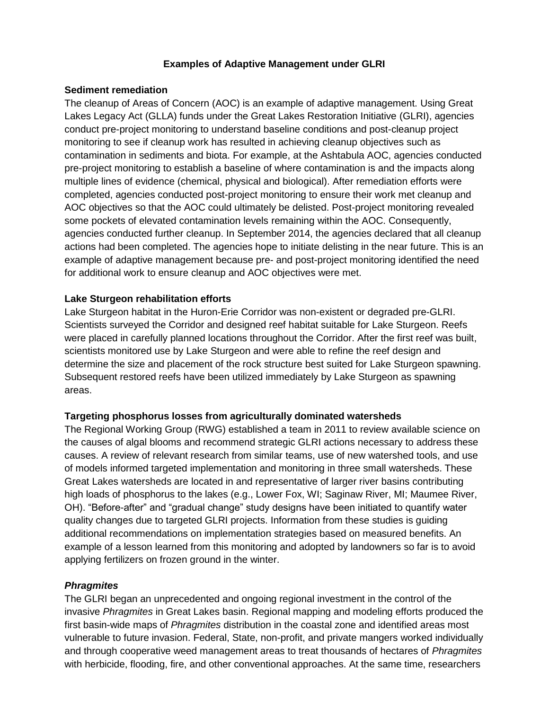# **Examples of Adaptive Management under GLRI**

### **Sediment remediation**

The cleanup of Areas of Concern (AOC) is an example of adaptive management. Using Great Lakes Legacy Act (GLLA) funds under the Great Lakes Restoration Initiative (GLRI), agencies conduct pre-project monitoring to understand baseline conditions and post-cleanup project monitoring to see if cleanup work has resulted in achieving cleanup objectives such as contamination in sediments and biota. For example, at the Ashtabula AOC, agencies conducted pre-project monitoring to establish a baseline of where contamination is and the impacts along multiple lines of evidence (chemical, physical and biological). After remediation efforts were completed, agencies conducted post-project monitoring to ensure their work met cleanup and AOC objectives so that the AOC could ultimately be delisted. Post-project monitoring revealed some pockets of elevated contamination levels remaining within the AOC. Consequently, agencies conducted further cleanup. In September 2014, the agencies declared that all cleanup actions had been completed. The agencies hope to initiate delisting in the near future. This is an example of adaptive management because pre- and post-project monitoring identified the need for additional work to ensure cleanup and AOC objectives were met.

# **Lake Sturgeon rehabilitation efforts**

Lake Sturgeon habitat in the Huron-Erie Corridor was non-existent or degraded pre-GLRI. Scientists surveyed the Corridor and designed reef habitat suitable for Lake Sturgeon. Reefs were placed in carefully planned locations throughout the Corridor. After the first reef was built, scientists monitored use by Lake Sturgeon and were able to refine the reef design and determine the size and placement of the rock structure best suited for Lake Sturgeon spawning. Subsequent restored reefs have been utilized immediately by Lake Sturgeon as spawning areas.

# **Targeting phosphorus losses from agriculturally dominated watersheds**

The Regional Working Group (RWG) established a team in 2011 to review available science on the causes of algal blooms and recommend strategic GLRI actions necessary to address these causes. A review of relevant research from similar teams, use of new watershed tools, and use of models informed targeted implementation and monitoring in three small watersheds. These Great Lakes watersheds are located in and representative of larger river basins contributing high loads of phosphorus to the lakes (e.g., Lower Fox, WI; Saginaw River, MI; Maumee River, OH). "Before-after" and "gradual change" study designs have been initiated to quantify water quality changes due to targeted GLRI projects. Information from these studies is guiding additional recommendations on implementation strategies based on measured benefits. An example of a lesson learned from this monitoring and adopted by landowners so far is to avoid applying fertilizers on frozen ground in the winter.

# *Phragmites*

The GLRI began an unprecedented and ongoing regional investment in the control of the invasive *Phragmites* in Great Lakes basin. Regional mapping and modeling efforts produced the first basin-wide maps of *Phragmites* distribution in the coastal zone and identified areas most vulnerable to future invasion. Federal, State, non-profit, and private mangers worked individually and through cooperative weed management areas to treat thousands of hectares of *Phragmites* with herbicide, flooding, fire, and other conventional approaches. At the same time, researchers